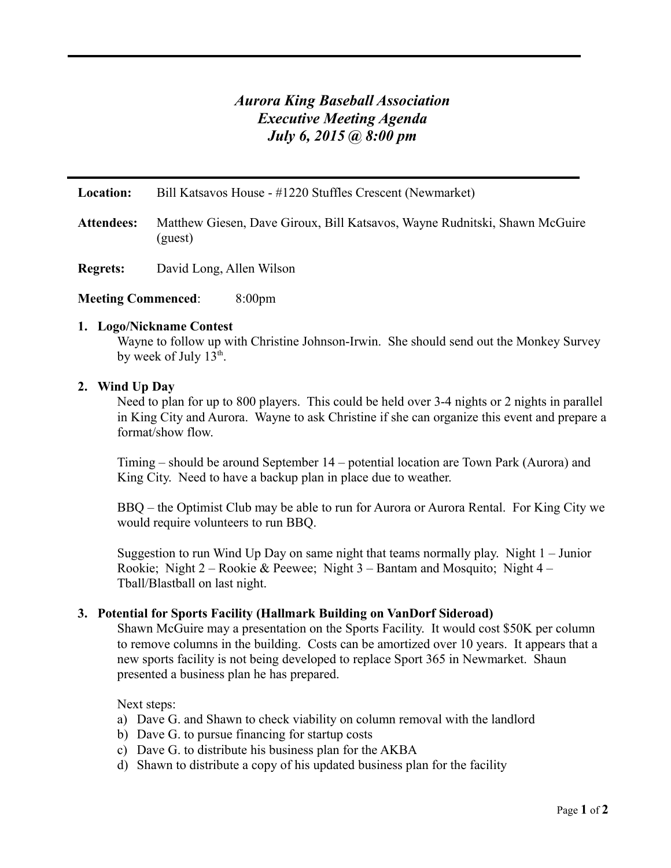## *Aurora King Baseball Association Executive Meeting Agenda July 6, 2015 @ 8:00 pm*

**Location:** Bill Katsavos House - #1220 Stuffles Crescent (Newmarket)

- **Attendees:** Matthew Giesen, Dave Giroux, Bill Katsavos, Wayne Rudnitski, Shawn McGuire (guest)
- **Regrets:** David Long, Allen Wilson

#### **Meeting Commenced**: 8:00pm

#### **1. Logo/Nickname Contest**

Wayne to follow up with Christine Johnson-Irwin. She should send out the Monkey Survey by week of July 13<sup>th</sup>.

#### **2. Wind Up Day**

Need to plan for up to 800 players. This could be held over 3-4 nights or 2 nights in parallel in King City and Aurora. Wayne to ask Christine if she can organize this event and prepare a format/show flow.

Timing – should be around September 14 – potential location are Town Park (Aurora) and King City. Need to have a backup plan in place due to weather.

BBQ – the Optimist Club may be able to run for Aurora or Aurora Rental. For King City we would require volunteers to run BBQ.

Suggestion to run Wind Up Day on same night that teams normally play. Night 1 – Junior Rookie; Night 2 – Rookie & Peewee; Night 3 – Bantam and Mosquito; Night 4 – Tball/Blastball on last night.

#### **3. Potential for Sports Facility (Hallmark Building on VanDorf Sideroad)**

Shawn McGuire may a presentation on the Sports Facility. It would cost \$50K per column to remove columns in the building. Costs can be amortized over 10 years. It appears that a new sports facility is not being developed to replace Sport 365 in Newmarket. Shaun presented a business plan he has prepared.

#### Next steps:

- a) Dave G. and Shawn to check viability on column removal with the landlord
- b) Dave G. to pursue financing for startup costs
- c) Dave G. to distribute his business plan for the AKBA
- d) Shawn to distribute a copy of his updated business plan for the facility